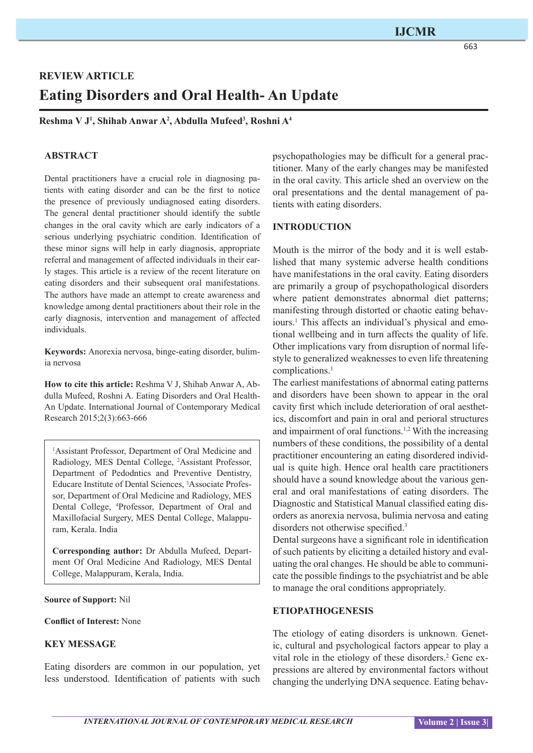# **REVIEW ARTICLE Eating Disorders and Oral Health- An Update**

**Reshma V J1 , Shihab Anwar A2 , Abdulla Mufeed3 , Roshni A4**

## **ABSTRACT**

Dental practitioners have a crucial role in diagnosing patients with eating disorder and can be the first to notice the presence of previously undiagnosed eating disorders. The general dental practitioner should identify the subtle changes in the oral cavity which are early indicators of a serious underlying psychiatric condition. Identification of these minor signs will help in early diagnosis, appropriate referral and management of affected individuals in their early stages. This article is a review of the recent literature on eating disorders and their subsequent oral manifestations. The authors have made an attempt to create awareness and knowledge among dental practitioners about their role in the early diagnosis, intervention and management of affected individuals.

**Keywords:** Anorexia nervosa, binge-eating disorder, bulimia nervosa

**How to cite this article:** Reshma V J, Shihab Anwar A, Abdulla Mufeed, Roshni A. Eating Disorders and Oral Health-An Update. International Journal of Contemporary Medical Research 2015;2(3):663-666

1 Assistant Professor, Department of Oral Medicine and Radiology, MES Dental College, 2 Assistant Professor, Department of Pedodntics and Preventive Dentistry, Educare Institute of Dental Sciences, 3 Associate Professor, Department of Oral Medicine and Radiology, MES Dental College, <sup>4</sup>Professor, Department of Oral and Maxillofacial Surgery, MES Dental College, Malappuram, Kerala. India

**Corresponding author:** Dr Abdulla Mufeed, Department Of Oral Medicine And Radiology, MES Dental College, Malappuram, Kerala, India.

**Source of Support:** Nil

**Conflict of Interest:** None

## **KEY MESSAGE**

Eating disorders are common in our population, yet less understood. Identification of patients with such psychopathologies may be difficult for a general practitioner. Many of the early changes may be manifested in the oral cavity. This article shed an overview on the oral presentations and the dental management of patients with eating disorders.

#### **INTRODUCTION**

Mouth is the mirror of the body and it is well established that many systemic adverse health conditions have manifestations in the oral cavity. Eating disorders are primarily a group of psychopathological disorders where patient demonstrates abnormal diet patterns; manifesting through distorted or chaotic eating behaviours.<sup>1</sup> This affects an individual's physical and emotional wellbeing and in turn affects the quality of life. Other implications vary from disruption of normal lifestyle to generalized weaknesses to even life threatening complications.1

The earliest manifestations of abnormal eating patterns and disorders have been shown to appear in the oral cavity first which include deterioration of oral aesthetics, discomfort and pain in oral and perioral structures and impairment of oral functions.1,2 With the increasing numbers of these conditions, the possibility of a dental practitioner encountering an eating disordered individual is quite high. Hence oral health care practitioners should have a sound knowledge about the various general and oral manifestations of eating disorders. The Diagnostic and Statistical Manual classified eating disorders as anorexia nervosa, bulimia nervosa and eating disorders not otherwise specified.<sup>3</sup>

Dental surgeons have a significant role in identification of such patients by eliciting a detailed history and evaluating the oral changes. He should be able to communicate the possible findings to the psychiatrist and be able to manage the oral conditions appropriately.

## **ETIOPATHOGENESIS**

The etiology of eating disorders is unknown. Genetic, cultural and psychological factors appear to play a vital role in the etiology of these disorders.<sup>2</sup> Gene expressions are altered by environmental factors without changing the underlying DNA sequence. Eating behav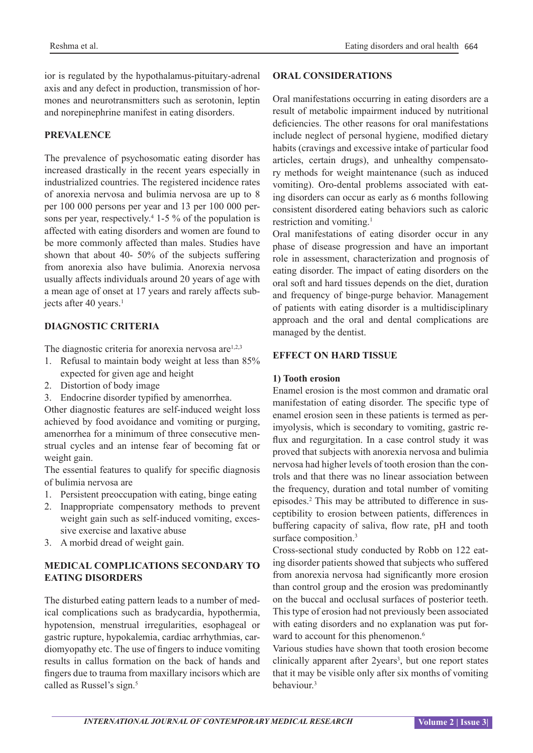ior is regulated by the hypothalamus-pituitary-adrenal axis and any defect in production, transmission of hormones and neurotransmitters such as serotonin, leptin and norepinephrine manifest in eating disorders.

## **PREVALENCE**

The prevalence of psychosomatic eating disorder has increased drastically in the recent years especially in industrialized countries. The registered incidence rates of anorexia nervosa and bulimia nervosa are up to 8 per 100 000 persons per year and 13 per 100 000 persons per year, respectively.<sup>4</sup> 1-5 % of the population is affected with eating disorders and women are found to be more commonly affected than males. Studies have shown that about 40- 50% of the subjects suffering from anorexia also have bulimia. Anorexia nervosa usually affects individuals around 20 years of age with a mean age of onset at 17 years and rarely affects subjects after 40 years.<sup>1</sup>

### **DIAGNOSTIC CRITERIA**

The diagnostic criteria for anorexia nervosa  $are^{1,2,3}$ 

- 1. Refusal to maintain body weight at less than 85% expected for given age and height
- 2. Distortion of body image
- 3. Endocrine disorder typified by amenorrhea.

Other diagnostic features are self-induced weight loss achieved by food avoidance and vomiting or purging, amenorrhea for a minimum of three consecutive menstrual cycles and an intense fear of becoming fat or weight gain.

The essential features to qualify for specific diagnosis of bulimia nervosa are

- 1. Persistent preoccupation with eating, binge eating
- 2. Inappropriate compensatory methods to prevent weight gain such as self-induced vomiting, excessive exercise and laxative abuse
- 3. A morbid dread of weight gain.

# **MEDICAL COMPLICATIONS SECONDARY TO EATING DISORDERS**

The disturbed eating pattern leads to a number of medical complications such as bradycardia, hypothermia, hypotension, menstrual irregularities, esophageal or gastric rupture, hypokalemia, cardiac arrhythmias, cardiomyopathy etc. The use of fingers to induce vomiting results in callus formation on the back of hands and fingers due to trauma from maxillary incisors which are called as Russel's sign.<sup>5</sup>

## **ORAL CONSIDERATIONS**

Oral manifestations occurring in eating disorders are a result of metabolic impairment induced by nutritional deficiencies. The other reasons for oral manifestations include neglect of personal hygiene, modified dietary habits (cravings and excessive intake of particular food articles, certain drugs), and unhealthy compensatory methods for weight maintenance (such as induced vomiting). Oro-dental problems associated with eating disorders can occur as early as 6 months following consistent disordered eating behaviors such as caloric restriction and vomiting.1

Oral manifestations of eating disorder occur in any phase of disease progression and have an important role in assessment, characterization and prognosis of eating disorder. The impact of eating disorders on the oral soft and hard tissues depends on the diet, duration and frequency of binge-purge behavior. Management of patients with eating disorder is a multidisciplinary approach and the oral and dental complications are managed by the dentist.

### **EFFECT ON HARD TISSUE**

#### **1) Tooth erosion**

Enamel erosion is the most common and dramatic oral manifestation of eating disorder. The specific type of enamel erosion seen in these patients is termed as perimyolysis, which is secondary to vomiting, gastric reflux and regurgitation. In a case control study it was proved that subjects with anorexia nervosa and bulimia nervosa had higher levels of tooth erosion than the controls and that there was no linear association between the frequency, duration and total number of vomiting episodes.2 This may be attributed to difference in susceptibility to erosion between patients, differences in buffering capacity of saliva, flow rate, pH and tooth surface composition.<sup>3</sup>

Cross-sectional study conducted by Robb on 122 eating disorder patients showed that subjects who suffered from anorexia nervosa had significantly more erosion than control group and the erosion was predominantly on the buccal and occlusal surfaces of posterior teeth. This type of erosion had not previously been associated with eating disorders and no explanation was put forward to account for this phenomenon.<sup>6</sup>

Various studies have shown that tooth erosion become clinically apparent after 2years<sup>3</sup>, but one report states that it may be visible only after six months of vomiting behaviour.3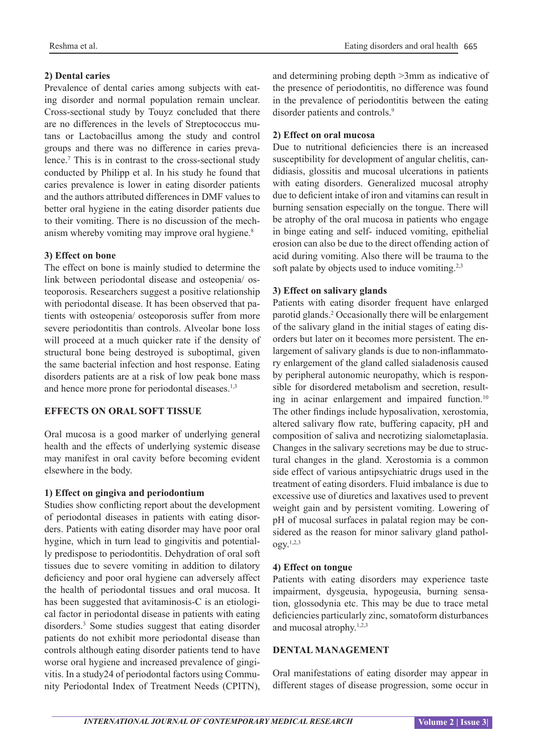# **2) Dental caries**

Prevalence of dental caries among subjects with eating disorder and normal population remain unclear. Cross-sectional study by Touyz concluded that there are no differences in the levels of Streptococcus mutans or Lactobacillus among the study and control groups and there was no difference in caries prevalence.7 This is in contrast to the cross-sectional study conducted by Philipp et al. In his study he found that caries prevalence is lower in eating disorder patients and the authors attributed differences in DMF values to better oral hygiene in the eating disorder patients due to their vomiting. There is no discussion of the mechanism whereby vomiting may improve oral hygiene.<sup>8</sup>

# **3) Effect on bone**

The effect on bone is mainly studied to determine the link between periodontal disease and osteopenia/ osteoporosis. Researchers suggest a positive relationship with periodontal disease. It has been observed that patients with osteopenia/ osteoporosis suffer from more severe periodontitis than controls. Alveolar bone loss will proceed at a much quicker rate if the density of structural bone being destroyed is suboptimal, given the same bacterial infection and host response. Eating disorders patients are at a risk of low peak bone mass and hence more prone for periodontal diseases.1,3

# **EFFECTS ON ORAL SOFT TISSUE**

Oral mucosa is a good marker of underlying general health and the effects of underlying systemic disease may manifest in oral cavity before becoming evident elsewhere in the body.

# **1) Effect on gingiva and periodontium**

Studies show conflicting report about the development of periodontal diseases in patients with eating disorders. Patients with eating disorder may have poor oral hygine, which in turn lead to gingivitis and potentially predispose to periodontitis. Dehydration of oral soft tissues due to severe vomiting in addition to dilatory deficiency and poor oral hygiene can adversely affect the health of periodontal tissues and oral mucosa. It has been suggested that avitaminosis-C is an etiological factor in periodontal disease in patients with eating disorders.3 Some studies suggest that eating disorder patients do not exhibit more periodontal disease than controls although eating disorder patients tend to have worse oral hygiene and increased prevalence of gingivitis. In a study24 of periodontal factors using Community Periodontal Index of Treatment Needs (CPITN),

and determining probing depth >3mm as indicative of the presence of periodontitis, no difference was found in the prevalence of periodontitis between the eating disorder patients and controls.<sup>9</sup>

# **2) Effect on oral mucosa**

Due to nutritional deficiencies there is an increased susceptibility for development of angular chelitis, candidiasis, glossitis and mucosal ulcerations in patients with eating disorders. Generalized mucosal atrophy due to deficient intake of iron and vitamins can result in burning sensation especially on the tongue. There will be atrophy of the oral mucosa in patients who engage in binge eating and self- induced vomiting, epithelial erosion can also be due to the direct offending action of acid during vomiting. Also there will be trauma to the soft palate by objects used to induce vomiting.<sup>2,3</sup>

# **3) Effect on salivary glands**

Patients with eating disorder frequent have enlarged parotid glands.2 Occasionally there will be enlargement of the salivary gland in the initial stages of eating disorders but later on it becomes more persistent. The enlargement of salivary glands is due to non-inflammatory enlargement of the gland called sialadenosis caused by peripheral autonomic neuropathy, which is responsible for disordered metabolism and secretion, resulting in acinar enlargement and impaired function.<sup>10</sup> The other findings include hyposalivation, xerostomia, altered salivary flow rate, buffering capacity, pH and composition of saliva and necrotizing sialometaplasia. Changes in the salivary secretions may be due to structural changes in the gland. Xerostomia is a common side effect of various antipsychiatric drugs used in the treatment of eating disorders. Fluid imbalance is due to excessive use of diuretics and laxatives used to prevent weight gain and by persistent vomiting. Lowering of pH of mucosal surfaces in palatal region may be considered as the reason for minor salivary gland pathology.1,2,3

# **4) Effect on tongue**

Patients with eating disorders may experience taste impairment, dysgeusia, hypogeusia, burning sensation, glossodynia etc. This may be due to trace metal deficiencies particularly zinc, somatoform disturbances and mucosal atrophy. $1,2,3$ 

# **DENTAL MANAGEMENT**

Oral manifestations of eating disorder may appear in different stages of disease progression, some occur in